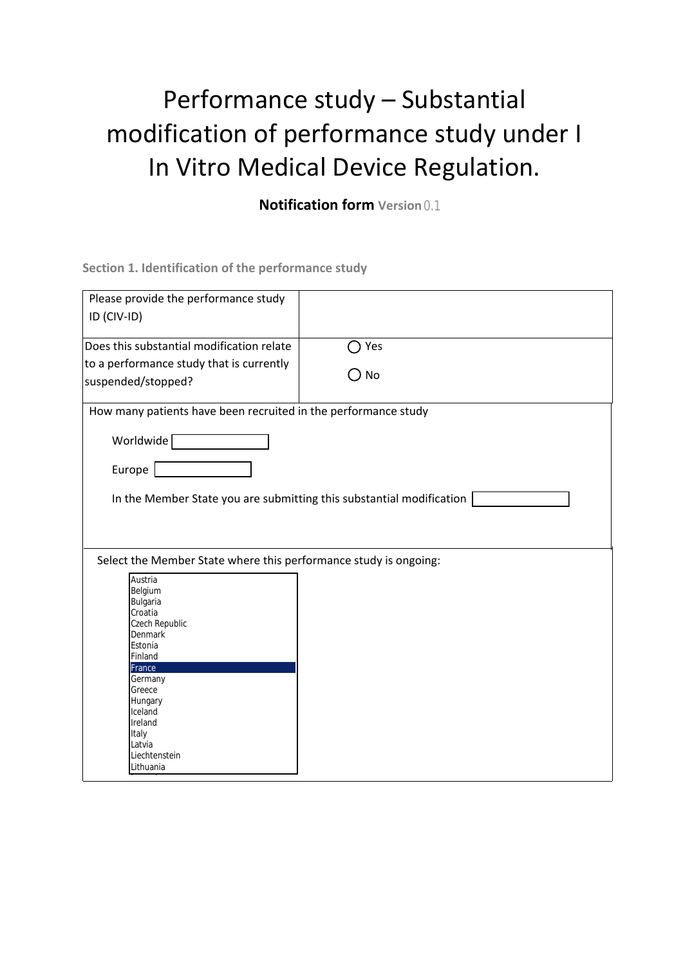## Performance study – Substantial modification of performance study under I In Vitro Medical Device Regulation.

**Notification form Version**  0.1

**Section 1. Identification of the performance study**

| Please provide the performance study<br>ID (CIV-ID)                                                                                                                                         |               |  |
|---------------------------------------------------------------------------------------------------------------------------------------------------------------------------------------------|---------------|--|
| Does this substantial modification relate                                                                                                                                                   | Yes           |  |
| to a performance study that is currently<br>suspended/stopped?                                                                                                                              | $\bigcirc$ No |  |
| How many patients have been recruited in the performance study                                                                                                                              |               |  |
| Worldwide <sup>[</sup><br>Europe  <br>In the Member State you are submitting this substantial modification                                                                                  |               |  |
| Select the Member State where this performance study is ongoing:<br><b>Austria</b><br><b>Belgium</b><br><b>Bulgaria</b><br>Croatia<br><b>Czech Republic</b><br><b>Denmark</b>               |               |  |
| <b>Estonia</b><br>Finland<br><b>France</b><br><b>Germany</b><br><b>Greece</b><br><b>Hungary</b><br><b>Iceland</b><br><b>Ireland</b><br><b>Italy</b><br>Latvia<br>Liechtenstein<br>Lithuania |               |  |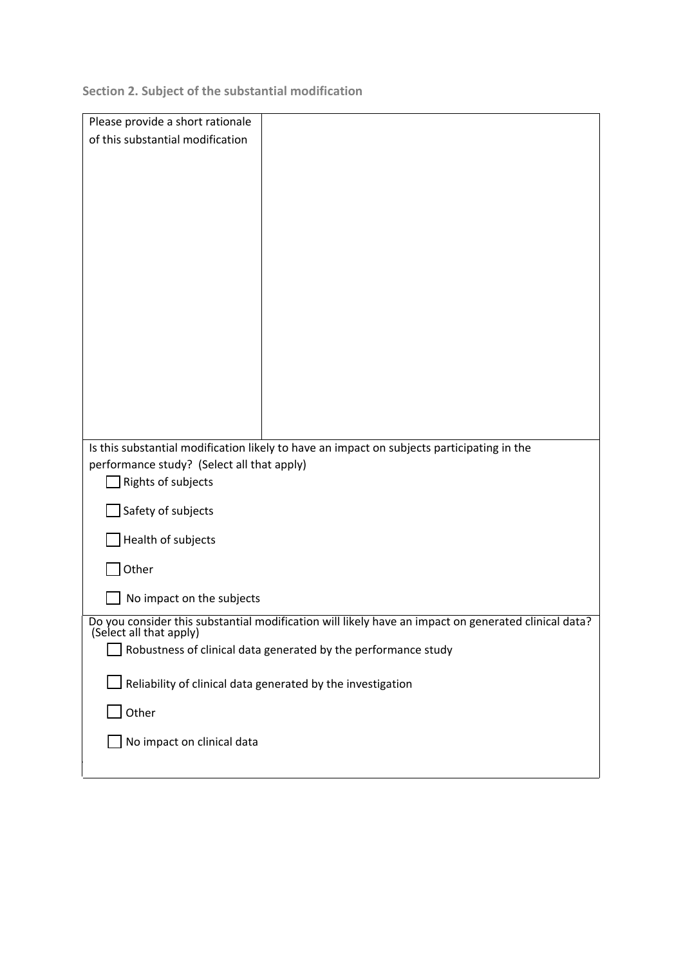**Section 2. Subject of the substantial modification** 

| Please provide a short rationale                                                                     |  |  |
|------------------------------------------------------------------------------------------------------|--|--|
| of this substantial modification                                                                     |  |  |
|                                                                                                      |  |  |
|                                                                                                      |  |  |
|                                                                                                      |  |  |
|                                                                                                      |  |  |
|                                                                                                      |  |  |
|                                                                                                      |  |  |
|                                                                                                      |  |  |
|                                                                                                      |  |  |
|                                                                                                      |  |  |
|                                                                                                      |  |  |
|                                                                                                      |  |  |
| Is this substantial modification likely to have an impact on subjects participating in the           |  |  |
| performance study? (Select all that apply)<br>Rights of subjects                                     |  |  |
| Safety of subjects                                                                                   |  |  |
| Health of subjects                                                                                   |  |  |
| Other                                                                                                |  |  |
| No impact on the subjects                                                                            |  |  |
| Do you consider this substantial modification will likely have an impact on generated clinical data? |  |  |
| (Select all that apply)<br>Robustness of clinical data generated by the performance study            |  |  |
|                                                                                                      |  |  |
| Reliability of clinical data generated by the investigation                                          |  |  |
| Other                                                                                                |  |  |
| No impact on clinical data                                                                           |  |  |
|                                                                                                      |  |  |